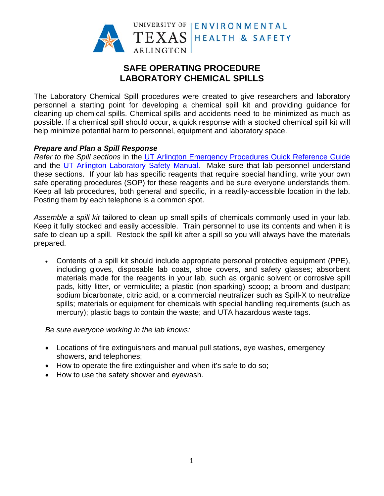

# **SAFE OPERATING PROCEDURE LABORATORY CHEMICAL SPILLS**

The Laboratory Chemical Spill procedures were created to give researchers and laboratory personnel a starting point for developing a chemical spill kit and providing quidance for cleaning up chemical spills. Chemical spills and accidents need to be minimized as much as possible. If a chemical spill should occur, a quick response with a stocked chemical spill kit will help minimize potential harm to personnel, equipment and laboratory space.

#### **Prepare and Plan a Spill Response**

Refer to the Spill sections in the UT Arlington Emergency Procedures Quick Reference Guide and the UT Arlington Laboratory Safety Manual. Make sure that lab personnel understand these sections. If your lab has specific reagents that require special handling, write your own safe operating procedures (SOP) for these reagents and be sure everyone understands them. Keep all lab procedures, both general and specific, in a readily-accessible location in the lab. Posting them by each telephone is a common spot.

Assemble a spill kit tailored to clean up small spills of chemicals commonly used in your lab. Keep it fully stocked and easily accessible. Train personnel to use its contents and when it is safe to clean up a spill. Restock the spill kit after a spill so you will always have the materials prepared.

• Contents of a spill kit should include appropriate personal protective equipment (PPE), including gloves, disposable lab coats, shoe covers, and safety glasses; absorbent materials made for the reagents in your lab, such as organic solvent or corrosive spill pads, kitty litter, or vermiculite; a plastic (non-sparking) scoop; a broom and dustpan; sodium bicarbonate, citric acid, or a commercial neutralizer such as Spill-X to neutralize spills; materials or equipment for chemicals with special handling requirements (such as mercury); plastic bags to contain the waste; and UTA hazardous waste tags.

Be sure everyone working in the lab knows:

- Locations of fire extinguishers and manual pull stations, eye washes, emergency showers, and telephones;
- How to operate the fire extinguisher and when it's safe to do so;
- How to use the safety shower and eyewash.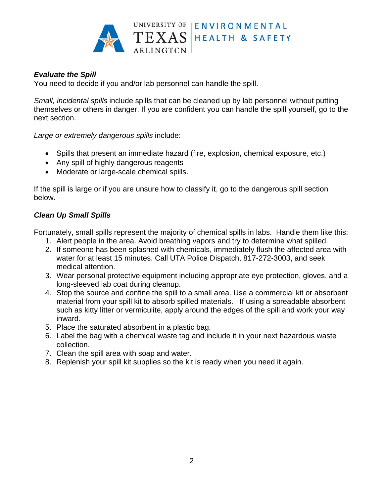

### **Evaluate the Spill**

You need to decide if you and/or lab personnel can handle the spill.

Small, incidental spills include spills that can be cleaned up by lab personnel without putting themselves or others in danger. If you are confident you can handle the spill yourself, go to the next section.

Large or extremely dangerous spills include:

- Spills that present an immediate hazard (fire, explosion, chemical exposure, etc.)
- Any spill of highly dangerous reagents
- Moderate or large-scale chemical spills.

If the spill is large or if you are unsure how to classify it, go to the dangerous spill section helow.

#### **Clean Up Small Spills**

Fortunately, small spills represent the majority of chemical spills in labs. Handle them like this:

- 1. Alert people in the area. Avoid breathing vapors and try to determine what spilled.
- 2. If someone has been splashed with chemicals, immediately flush the affected area with water for at least 15 minutes. Call UTA Police Dispatch, 817-272-3003, and seek medical attention.
- 3. Wear personal protective equipment including appropriate eye protection, gloves, and a long-sleeved lab coat during cleanup.
- 4. Stop the source and confine the spill to a small area. Use a commercial kit or absorbent material from your spill kit to absorb spilled materials. If using a spreadable absorbent such as kitty litter or vermiculite, apply around the edges of the spill and work your way inward.
- 5. Place the saturated absorbent in a plastic bag.
- 6. Label the bag with a chemical waste tag and include it in your next hazardous waste collection.
- 7. Clean the spill area with soap and water.
- 8. Replenish your spill kit supplies so the kit is ready when you need it again.